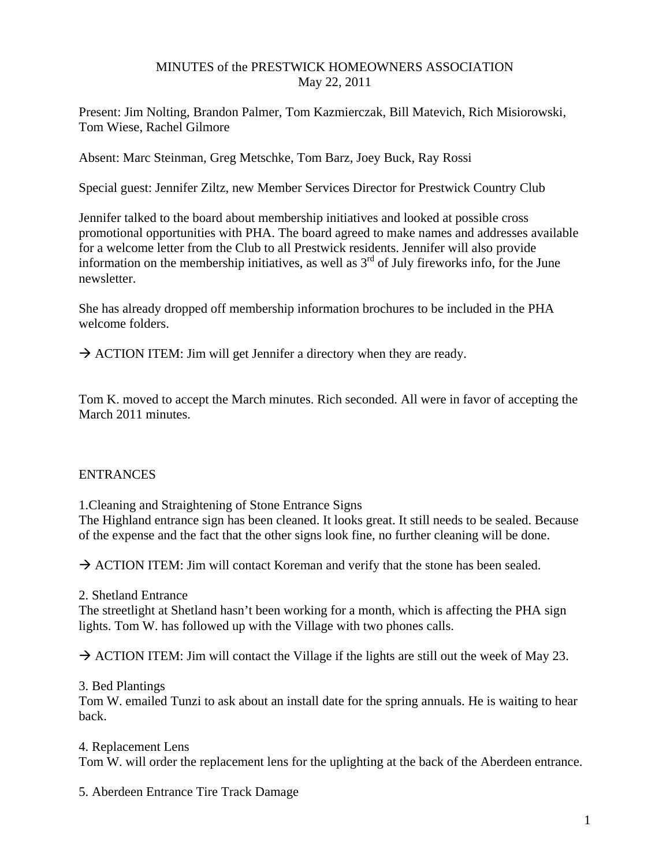## MINUTES of the PRESTWICK HOMEOWNERS ASSOCIATION May 22, 2011

Present: Jim Nolting, Brandon Palmer, Tom Kazmierczak, Bill Matevich, Rich Misiorowski, Tom Wiese, Rachel Gilmore

Absent: Marc Steinman, Greg Metschke, Tom Barz, Joey Buck, Ray Rossi

Special guest: Jennifer Ziltz, new Member Services Director for Prestwick Country Club

Jennifer talked to the board about membership initiatives and looked at possible cross promotional opportunities with PHA. The board agreed to make names and addresses available for a welcome letter from the Club to all Prestwick residents. Jennifer will also provide information on the membership initiatives, as well as  $3<sup>rd</sup>$  of July fireworks info, for the June newsletter.

She has already dropped off membership information brochures to be included in the PHA welcome folders.

 $\rightarrow$  ACTION ITEM: Jim will get Jennifer a directory when they are ready.

Tom K. moved to accept the March minutes. Rich seconded. All were in favor of accepting the March 2011 minutes.

#### ENTRANCES

1.Cleaning and Straightening of Stone Entrance Signs

The Highland entrance sign has been cleaned. It looks great. It still needs to be sealed. Because of the expense and the fact that the other signs look fine, no further cleaning will be done.

 $\rightarrow$  ACTION ITEM: Jim will contact Koreman and verify that the stone has been sealed.

2. Shetland Entrance

The streetlight at Shetland hasn't been working for a month, which is affecting the PHA sign lights. Tom W. has followed up with the Village with two phones calls.

 $\rightarrow$  ACTION ITEM: Jim will contact the Village if the lights are still out the week of May 23.

3. Bed Plantings

Tom W. emailed Tunzi to ask about an install date for the spring annuals. He is waiting to hear back.

4. Replacement Lens Tom W. will order the replacement lens for the uplighting at the back of the Aberdeen entrance.

5. Aberdeen Entrance Tire Track Damage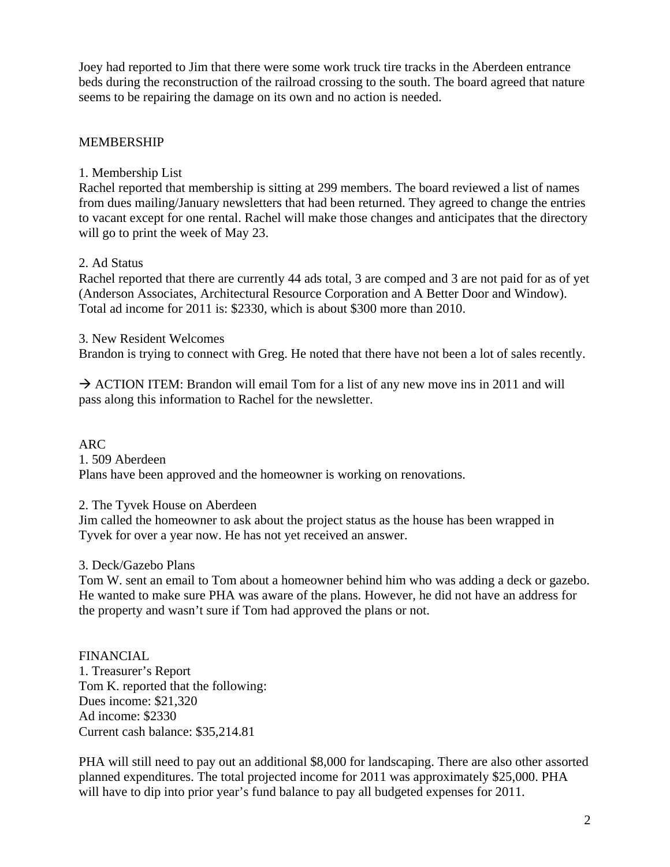Joey had reported to Jim that there were some work truck tire tracks in the Aberdeen entrance beds during the reconstruction of the railroad crossing to the south. The board agreed that nature seems to be repairing the damage on its own and no action is needed.

## MEMBERSHIP

### 1. Membership List

Rachel reported that membership is sitting at 299 members. The board reviewed a list of names from dues mailing/January newsletters that had been returned. They agreed to change the entries to vacant except for one rental. Rachel will make those changes and anticipates that the directory will go to print the week of May 23.

## 2. Ad Status

Rachel reported that there are currently 44 ads total, 3 are comped and 3 are not paid for as of yet (Anderson Associates, Architectural Resource Corporation and A Better Door and Window). Total ad income for 2011 is: \$2330, which is about \$300 more than 2010.

3. New Resident Welcomes

Brandon is trying to connect with Greg. He noted that there have not been a lot of sales recently.

 $\rightarrow$  ACTION ITEM: Brandon will email Tom for a list of any new move ins in 2011 and will pass along this information to Rachel for the newsletter.

ARC 1. 509 Aberdeen Plans have been approved and the homeowner is working on renovations.

# 2. The Tyvek House on Aberdeen

Jim called the homeowner to ask about the project status as the house has been wrapped in Tyvek for over a year now. He has not yet received an answer.

# 3. Deck/Gazebo Plans

Tom W. sent an email to Tom about a homeowner behind him who was adding a deck or gazebo. He wanted to make sure PHA was aware of the plans. However, he did not have an address for the property and wasn't sure if Tom had approved the plans or not.

FINANCIAL 1. Treasurer's Report Tom K. reported that the following: Dues income: \$21,320 Ad income: \$2330 Current cash balance: \$35,214.81

PHA will still need to pay out an additional \$8,000 for landscaping. There are also other assorted planned expenditures. The total projected income for 2011 was approximately \$25,000. PHA will have to dip into prior year's fund balance to pay all budgeted expenses for 2011.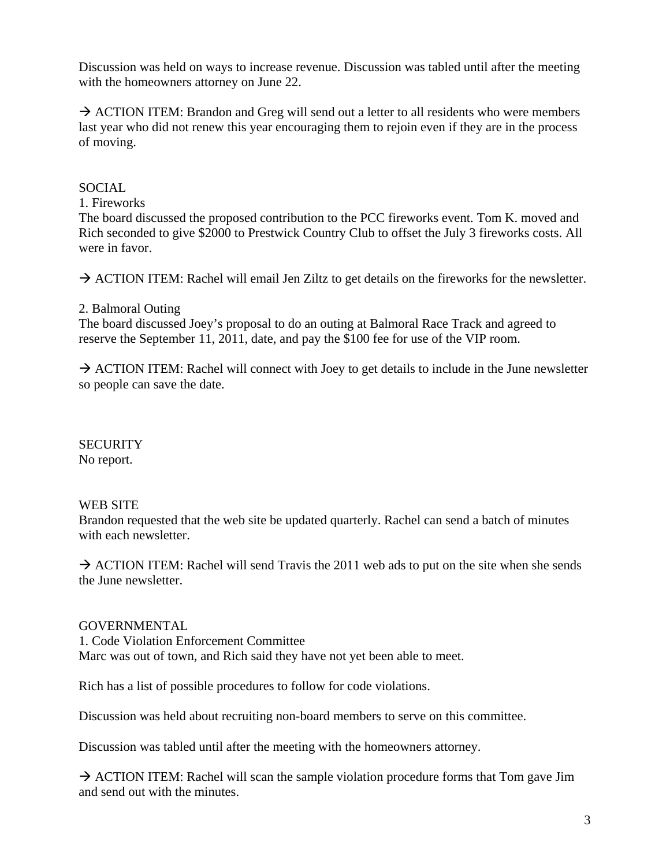Discussion was held on ways to increase revenue. Discussion was tabled until after the meeting with the homeowners attorney on June 22.

 $\rightarrow$  ACTION ITEM: Brandon and Greg will send out a letter to all residents who were members last year who did not renew this year encouraging them to rejoin even if they are in the process of moving.

## SOCIAL

1. Fireworks

The board discussed the proposed contribution to the PCC fireworks event. Tom K. moved and Rich seconded to give \$2000 to Prestwick Country Club to offset the July 3 fireworks costs. All were in favor.

 $\rightarrow$  ACTION ITEM: Rachel will email Jen Ziltz to get details on the fireworks for the newsletter.

#### 2. Balmoral Outing

The board discussed Joey's proposal to do an outing at Balmoral Race Track and agreed to reserve the September 11, 2011, date, and pay the \$100 fee for use of the VIP room.

 $\rightarrow$  ACTION ITEM: Rachel will connect with Joey to get details to include in the June newsletter so people can save the date.

**SECURITY** No report.

# WEB SITE

Brandon requested that the web site be updated quarterly. Rachel can send a batch of minutes with each newsletter.

 $\rightarrow$  ACTION ITEM: Rachel will send Travis the 2011 web ads to put on the site when she sends the June newsletter.

#### GOVERNMENTAL

1. Code Violation Enforcement Committee Marc was out of town, and Rich said they have not yet been able to meet.

Rich has a list of possible procedures to follow for code violations.

Discussion was held about recruiting non-board members to serve on this committee.

Discussion was tabled until after the meeting with the homeowners attorney.

 $\rightarrow$  ACTION ITEM: Rachel will scan the sample violation procedure forms that Tom gave Jim and send out with the minutes.